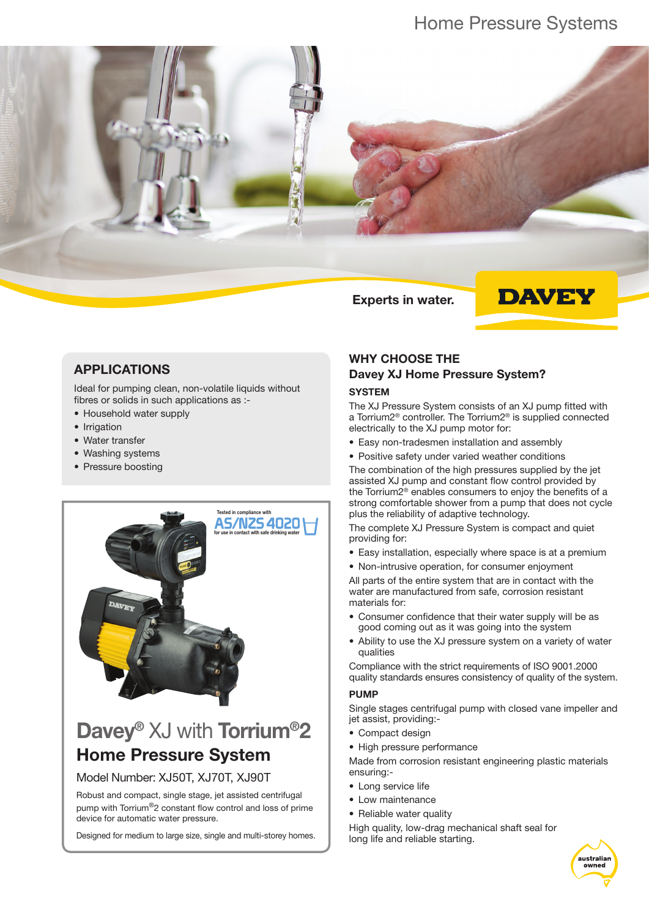## Home Pressure Systems



### APPLICATIONS

Ideal for pumping clean, non-volatile liquids without fibres or solids in such applications as :-

- Household water supply
- Irrigation
- Water transfer
- Washing systems
- Pressure boosting



# Davey<sup>®</sup> XJ with Torrium<sup>®</sup>2 Home Pressure System

Model Number: XJ50T, XJ70T, XJ90T

Robust and compact, single stage, jet assisted centrifugal pump with Torrium®2 constant flow control and loss of prime device for automatic water pressure.

Designed for medium to large size, single and multi-storey homes.

### WHY CHOOSE THE Davey XJ Home Pressure System?

#### **SYSTEM**

The XJ Pressure System consists of an XJ pump fitted with a Torrium2® controller. The Torrium2® is supplied connected electrically to the XJ pump motor for:

- Easy non-tradesmen installation and assembly
- Positive safety under varied weather conditions

The combination of the high pressures supplied by the jet assisted XJ pump and constant flow control provided by the Torrium2® enables consumers to enjoy the benefits of a strong comfortable shower from a pump that does not cycle plus the reliability of adaptive technology.

The complete XJ Pressure System is compact and quiet providing for:

- Easy installation, especially where space is at a premium
- Non-intrusive operation, for consumer enjoyment

All parts of the entire system that are in contact with the water are manufactured from safe, corrosion resistant materials for:

- Consumer confidence that their water supply will be as good coming out as it was going into the system
- Ability to use the XJ pressure system on a variety of water qualities

Compliance with the strict requirements of ISO 9001.2000 quality standards ensures consistency of quality of the system.

#### PUMP

Single stages centrifugal pump with closed vane impeller and jet assist, providing:-

- Compact design
- High pressure performance

Made from corrosion resistant engineering plastic materials ensuring:-

- Long service life
- Low maintenance
- Reliable water quality

High quality, low-drag mechanical shaft seal for long life and reliable starting.

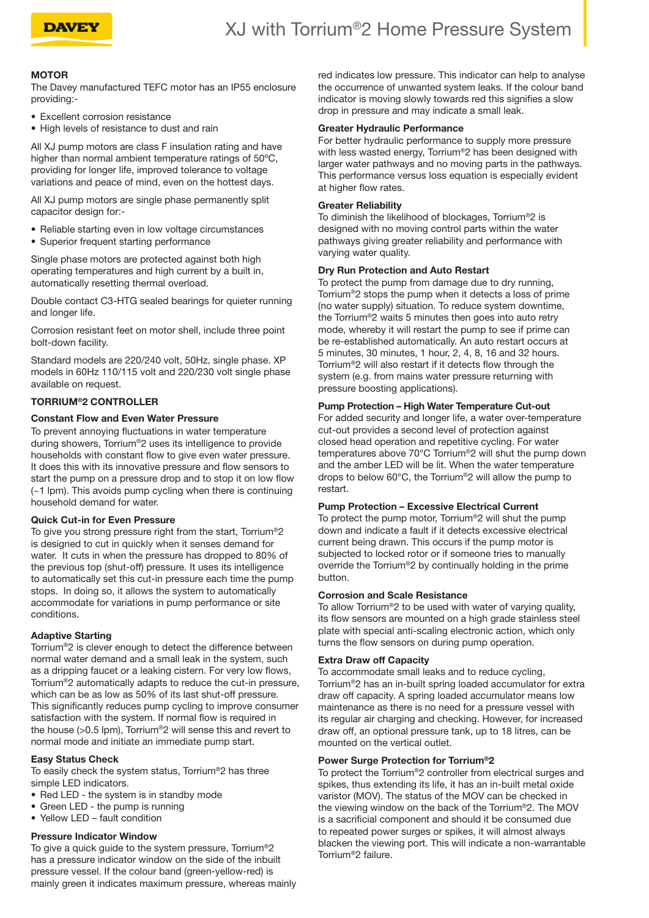

## XJ with Torrium®2 Home Pressure System

#### **MOTOR**

The Davey manufactured TEFC motor has an IP55 enclosure providing:-

- Excellent corrosion resistance
- High levels of resistance to dust and rain

All XJ pump motors are class F insulation rating and have higher than normal ambient temperature ratings of 50ºC, providing for longer life, improved tolerance to voltage variations and peace of mind, even on the hottest days.

All XJ pump motors are single phase permanently split capacitor design for:-

- Reliable starting even in low voltage circumstances
- Superior frequent starting performance

Single phase motors are protected against both high operating temperatures and high current by a built in, automatically resetting thermal overload.

Double contact C3-HTG sealed bearings for quieter running and longer life.

Corrosion resistant feet on motor shell, include three point bolt-down facility.

Standard models are 220/240 volt, 50Hz, single phase. XP models in 60Hz 110/115 volt and 220/230 volt single phase available on request.

#### TORRIUM®2 CONTROLLER

#### Constant Flow and Even Water Pressure

To prevent annoying fluctuations in water temperature during showers, Torrium®2 uses its intelligence to provide households with constant flow to give even water pressure. It does this with its innovative pressure and flow sensors to start the pump on a pressure drop and to stop it on low flow (~1 lpm). This avoids pump cycling when there is continuing household demand for water.

#### Quick Cut-in for Even Pressure

To give you strong pressure right from the start, Torrium®2 is designed to cut in quickly when it senses demand for water. It cuts in when the pressure has dropped to 80% of the previous top (shut-off) pressure. It uses its intelligence to automatically set this cut-in pressure each time the pump stops. In doing so, it allows the system to automatically accommodate for variations in pump performance or site conditions.

#### Adaptive Starting

Torrium®2 is clever enough to detect the difference between normal water demand and a small leak in the system, such as a dripping faucet or a leaking cistern. For very low flows, Torrium®2 automatically adapts to reduce the cut-in pressure, which can be as low as 50% of its last shut-off pressure. This significantly reduces pump cycling to improve consumer satisfaction with the system. If normal flow is required in the house (>0.5 lpm), Torrium®2 will sense this and revert to normal mode and initiate an immediate pump start.

#### Easy Status Check

To easily check the system status, Torrium®2 has three simple LED indicators.

- Red LED the system is in standby mode
- Green LED the pump is running
- Yellow LED fault condition

#### Pressure Indicator Window

To give a quick guide to the system pressure, Torrium®2 has a pressure indicator window on the side of the inbuilt pressure vessel. If the colour band (green-yellow-red) is mainly green it indicates maximum pressure, whereas mainly red indicates low pressure. This indicator can help to analyse the occurrence of unwanted system leaks. If the colour band indicator is moving slowly towards red this signifies a slow drop in pressure and may indicate a small leak.

#### Greater Hydraulic Performance

For better hydraulic performance to supply more pressure with less wasted energy, Torrium®2 has been designed with larger water pathways and no moving parts in the pathways. This performance versus loss equation is especially evident at higher flow rates.

#### Greater Reliability

To diminish the likelihood of blockages, Torrium®2 is designed with no moving control parts within the water pathways giving greater reliability and performance with varying water quality.

#### Dry Run Protection and Auto Restart

To protect the pump from damage due to dry running, Torrium®2 stops the pump when it detects a loss of prime (no water supply) situation. To reduce system downtime, the Torrium®2 waits 5 minutes then goes into auto retry mode, whereby it will restart the pump to see if prime can be re-established automatically. An auto restart occurs at 5 minutes, 30 minutes, 1 hour, 2, 4, 8, 16 and 32 hours. Torrium®2 will also restart if it detects flow through the system (e.g. from mains water pressure returning with pressure boosting applications).

#### Pump Protection – High Water Temperature Cut-out

For added security and longer life, a water over-temperature cut-out provides a second level of protection against closed head operation and repetitive cycling. For water temperatures above 70°C Torrium®2 will shut the pump down and the amber LED will be lit. When the water temperature drops to below 60°C, the Torrium®2 will allow the pump to restart.

#### Pump Protection – Excessive Electrical Current

To protect the pump motor, Torrium®2 will shut the pump down and indicate a fault if it detects excessive electrical current being drawn. This occurs if the pump motor is subjected to locked rotor or if someone tries to manually override the Torrium®2 by continually holding in the prime button.

#### Corrosion and Scale Resistance

To allow Torrium®2 to be used with water of varying quality, its flow sensors are mounted on a high grade stainless steel plate with special anti-scaling electronic action, which only turns the flow sensors on during pump operation.

#### Extra Draw off Capacity

To accommodate small leaks and to reduce cycling, Torrium®2 has an in-built spring loaded accumulator for extra draw off capacity. A spring loaded accumulator means low maintenance as there is no need for a pressure vessel with its regular air charging and checking. However, for increased draw off, an optional pressure tank, up to 18 litres, can be mounted on the vertical outlet.

#### Power Surge Protection for Torrium®2

To protect the Torrium®2 controller from electrical surges and spikes, thus extending its life, it has an in-built metal oxide varistor (MOV). The status of the MOV can be checked in the viewing window on the back of the Torrium®2. The MOV is a sacrificial component and should it be consumed due to repeated power surges or spikes, it will almost always blacken the viewing port. This will indicate a non-warrantable Torrium®2 failure.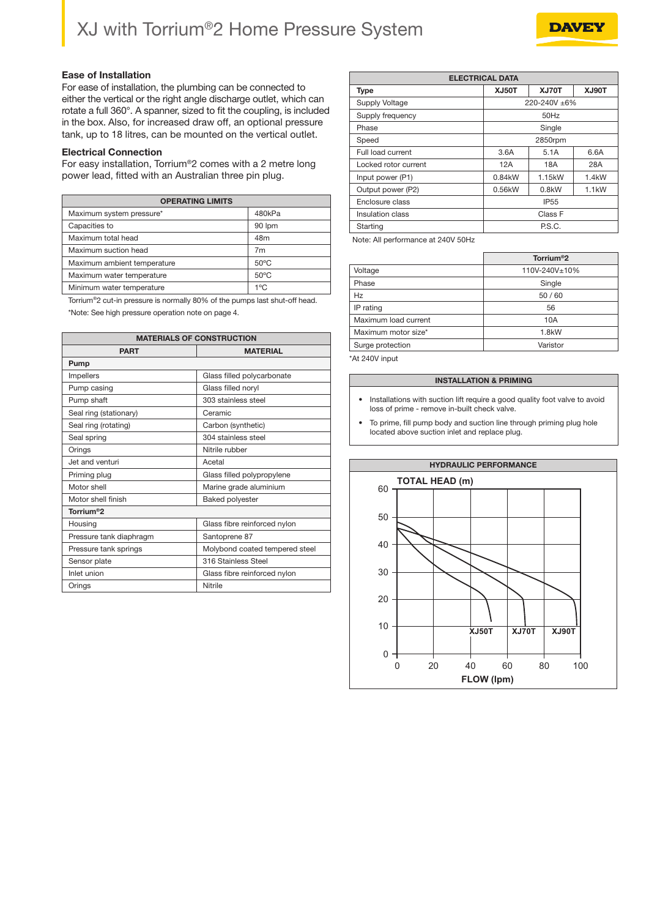# XJ with Torrium®2 Home Pressure System



For ease of installation, the plumbing can be connected to either the vertical or the right angle discharge outlet, which can rotate a full 360°. A spanner, sized to fit the coupling, is included in the box. Also, for increased draw off, an optional pressure tank, up to 18 litres, can be mounted on the vertical outlet.

#### Electrical Connection

For easy installation, Torrium®2 comes with a 2 metre long power lead, fitted with an Australian three pin plug.

| <b>OPERATING LIMITS</b>     |                |  |  |  |  |  |  |  |
|-----------------------------|----------------|--|--|--|--|--|--|--|
| Maximum system pressure*    | 480kPa         |  |  |  |  |  |  |  |
| Capacities to               | 90 lpm         |  |  |  |  |  |  |  |
| Maximum total head          | 48m            |  |  |  |  |  |  |  |
| Maximum suction head        | 7 <sub>m</sub> |  |  |  |  |  |  |  |
| Maximum ambient temperature | $50^{\circ}$ C |  |  |  |  |  |  |  |
| Maximum water temperature   | $50^{\circ}$ C |  |  |  |  |  |  |  |
| Minimum water temperature   | 1°C            |  |  |  |  |  |  |  |

Torrium®2 cut-in pressure is normally 80% of the pumps last shut-off head. \*Note: See high pressure operation note on page 4.

| <b>MATERIALS OF CONSTRUCTION</b> |                                |  |  |  |  |  |  |
|----------------------------------|--------------------------------|--|--|--|--|--|--|
| <b>PART</b>                      | <b>MATERIAL</b>                |  |  |  |  |  |  |
| Pump                             |                                |  |  |  |  |  |  |
| <b>Impellers</b>                 | Glass filled polycarbonate     |  |  |  |  |  |  |
| Pump casing                      | Glass filled noryl             |  |  |  |  |  |  |
| Pump shaft                       | 303 stainless steel            |  |  |  |  |  |  |
| Seal ring (stationary)           | Ceramic                        |  |  |  |  |  |  |
| Seal ring (rotating)             | Carbon (synthetic)             |  |  |  |  |  |  |
| Seal spring                      | 304 stainless steel            |  |  |  |  |  |  |
| Orings                           | Nitrile rubber                 |  |  |  |  |  |  |
| Jet and venturi                  | Acetal                         |  |  |  |  |  |  |
| Priming plug                     | Glass filled polypropylene     |  |  |  |  |  |  |
| Motor shell                      | Marine grade aluminium         |  |  |  |  |  |  |
| Motor shell finish               | <b>Baked polyester</b>         |  |  |  |  |  |  |
| Torrium <sup>®</sup> 2           |                                |  |  |  |  |  |  |
| Housing                          | Glass fibre reinforced nylon   |  |  |  |  |  |  |
| Pressure tank diaphragm          | Santoprene 87                  |  |  |  |  |  |  |
| Pressure tank springs            | Molybond coated tempered steel |  |  |  |  |  |  |
| Sensor plate                     | 316 Stainless Steel            |  |  |  |  |  |  |
| Inlet union                      | Glass fibre reinforced nylon   |  |  |  |  |  |  |
| Orings                           | Nitrile                        |  |  |  |  |  |  |

| <b>ELECTRICAL DATA</b> |                     |                    |       |  |  |  |  |  |
|------------------------|---------------------|--------------------|-------|--|--|--|--|--|
| <b>Type</b>            | <b>XJ50T</b>        | XJ70T              |       |  |  |  |  |  |
| <b>Supply Voltage</b>  | 220-240V ±6%        |                    |       |  |  |  |  |  |
| Supply frequency       | 50Hz                |                    |       |  |  |  |  |  |
| Phase                  | Single              |                    |       |  |  |  |  |  |
| Speed                  | 2850rpm             |                    |       |  |  |  |  |  |
| Full load current      | 3.6A                | 5.1A               |       |  |  |  |  |  |
| Locked rotor current   | 12A                 | 18A                |       |  |  |  |  |  |
| Input power (P1)       | 0.84 <sub>k</sub> W | 1.4 <sub>k</sub> W |       |  |  |  |  |  |
| Output power (P2)      | 0.56kW              | 0.8kW              | 1.1kW |  |  |  |  |  |
| Enclosure class        | <b>IP55</b>         |                    |       |  |  |  |  |  |
| Insulation class       | Class F             |                    |       |  |  |  |  |  |
| Starting               | P.S.C.              |                    |       |  |  |  |  |  |

Note: All performance at 240V 50Hz

|                      | Torrium <sup>®</sup> 2 |
|----------------------|------------------------|
| Voltage              | 110V-240V±10%          |
| Phase                | Single                 |
| Hz                   | 50/60                  |
| IP rating            | 56                     |
| Maximum load current | 10A                    |
| Maximum motor size*  | 1.8kW                  |
| Surge protection     | Varistor               |

\*At 240V input

#### INSTALLATION & PRIMING

- Installations with suction lift require a good quality foot valve to avoid loss of prime - remove in-built check valve.
- To prime, fill pump body and suction line through priming plug hole located above suction inlet and replace plug.